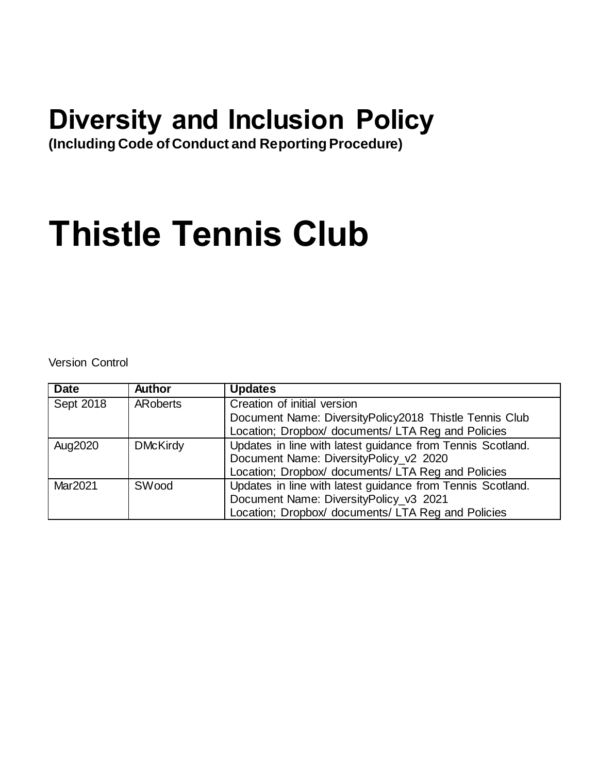## **Diversity and Inclusion Policy**

**(Including Code of Conduct and Reporting Procedure)**

# **Thistle Tennis Club**

Version Control

| <b>Date</b> | Author          | <b>Updates</b>                                             |
|-------------|-----------------|------------------------------------------------------------|
| Sept 2018   | <b>ARoberts</b> | Creation of initial version                                |
|             |                 | Document Name: DiversityPolicy2018 Thistle Tennis Club     |
|             |                 | Location; Dropbox/ documents/ LTA Reg and Policies         |
| Aug2020     | <b>DMcKirdy</b> | Updates in line with latest guidance from Tennis Scotland. |
|             |                 | Document Name: DiversityPolicy_v2 2020                     |
|             |                 | Location; Dropbox/ documents/ LTA Reg and Policies         |
| Mar2021     | SWood           | Updates in line with latest guidance from Tennis Scotland. |
|             |                 | Document Name: DiversityPolicy_v3 2021                     |
|             |                 | Location; Dropbox/ documents/ LTA Reg and Policies         |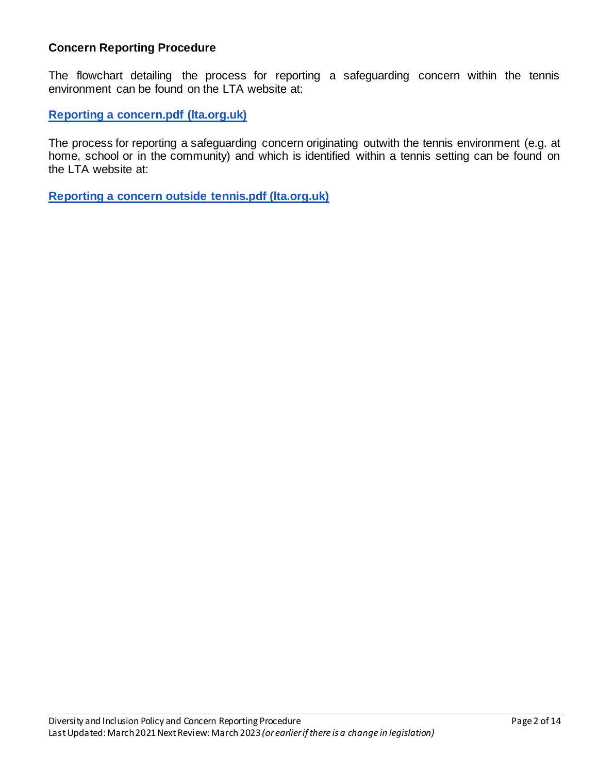#### **Concern Reporting Procedure**

The flowchart detailing the process for reporting a safeguarding concern within the tennis environment can be found on the LTA website at:

#### **[Reporting a concern.pdf \(lta.org.uk\)](https://www.lta.org.uk/globalassets/about-lta/safeguarding/flowchart-reporting-a-concern-within-tennis.pdf)**

The process for reporting a safeguarding concern originating outwith the tennis environment (e.g. at home, school or in the community) and which is identified within a tennis setting can be found on the LTA website at:

**[Reporting a concern outside tennis.pdf \(lta.org.uk\)](https://www.lta.org.uk/globalassets/about-lta/safeguarding/flowchart-reporting-a-concern-outside-tennis.pdf)**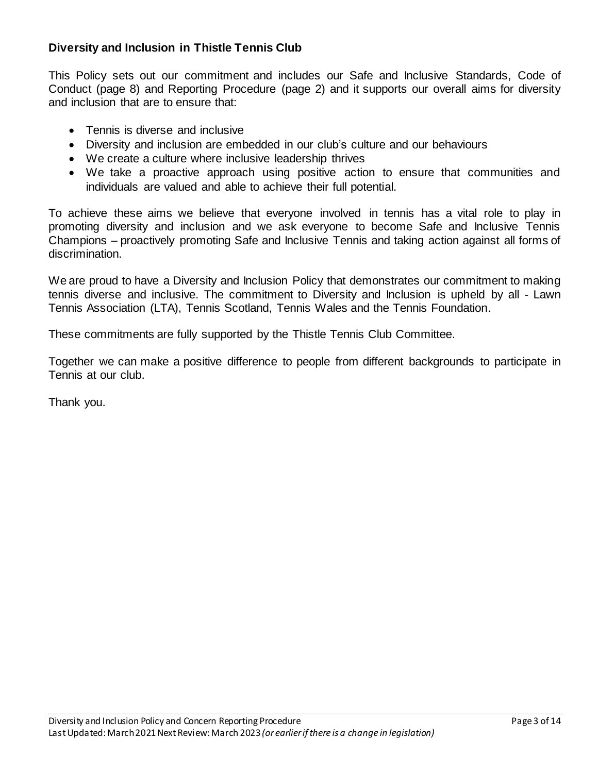#### **Diversity and Inclusion in Thistle Tennis Club**

This Policy sets out our commitment and includes our Safe and Inclusive Standards, Code of Conduct (page 8) and Reporting Procedure (page 2) and it supports our overall aims for diversity and inclusion that are to ensure that:

- Tennis is diverse and inclusive
- Diversity and inclusion are embedded in our club's culture and our behaviours
- We create a culture where inclusive leadership thrives
- We take a proactive approach using positive action to ensure that communities and individuals are valued and able to achieve their full potential.

To achieve these aims we believe that everyone involved in tennis has a vital role to play in promoting diversity and inclusion and we ask everyone to become Safe and Inclusive Tennis Champions – proactively promoting Safe and Inclusive Tennis and taking action against all forms of discrimination.

We are proud to have a Diversity and Inclusion Policy that demonstrates our commitment to making tennis diverse and inclusive. The commitment to Diversity and Inclusion is upheld by all - Lawn Tennis Association (LTA), Tennis Scotland, Tennis Wales and the Tennis Foundation.

These commitments are fully supported by the Thistle Tennis Club Committee.

Together we can make a positive difference to people from different backgrounds to participate in Tennis at our club.

Thank you.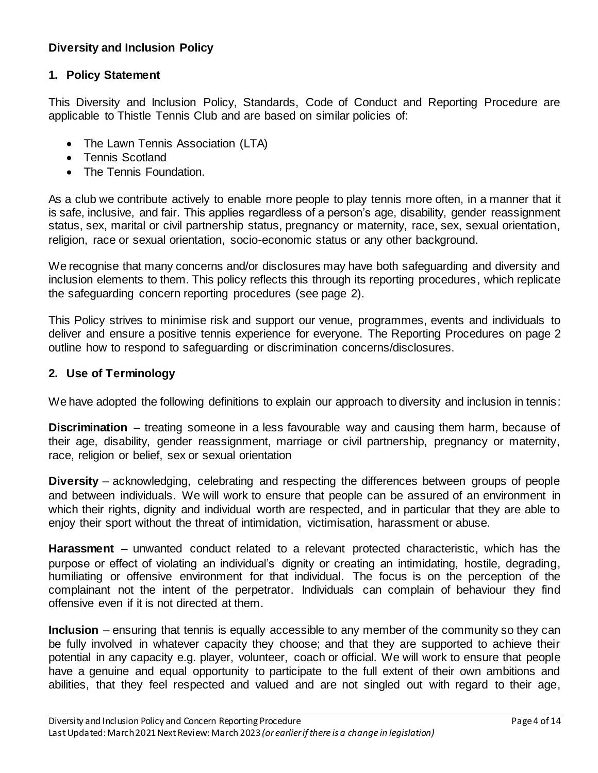#### **Diversity and Inclusion Policy**

#### **1. Policy Statement**

This Diversity and Inclusion Policy, Standards, Code of Conduct and Reporting Procedure are applicable to Thistle Tennis Club and are based on similar policies of:

- The Lawn Tennis Association (LTA)
- Tennis Scotland
- The Tennis Foundation.

As a club we contribute actively to enable more people to play tennis more often, in a manner that it is safe, inclusive, and fair. This applies regardless of a person's age, disability, gender reassignment status, sex, marital or civil partnership status, pregnancy or maternity, race, sex, sexual orientation, religion, race or sexual orientation, socio-economic status or any other background.

We recognise that many concerns and/or disclosures may have both safeguarding and diversity and inclusion elements to them. This policy reflects this through its reporting procedures, which replicate the safeguarding concern reporting procedures (see page 2).

This Policy strives to minimise risk and support our venue, programmes, events and individuals to deliver and ensure a positive tennis experience for everyone. The Reporting Procedures on page 2 outline how to respond to safeguarding or discrimination concerns/disclosures.

#### **2. Use of Terminology**

We have adopted the following definitions to explain our approach to diversity and inclusion in tennis:

**Discrimination** – treating someone in a less favourable way and causing them harm, because of their age, disability, gender reassignment, marriage or civil partnership, pregnancy or maternity, race, religion or belief, sex or sexual orientation

**Diversity** – acknowledging, celebrating and respecting the differences between groups of people and between individuals. We will work to ensure that people can be assured of an environment in which their rights, dignity and individual worth are respected, and in particular that they are able to enjoy their sport without the threat of intimidation, victimisation, harassment or abuse.

**Harassment** – unwanted conduct related to a relevant protected characteristic, which has the purpose or effect of violating an individual's dignity or creating an intimidating, hostile, degrading, humiliating or offensive environment for that individual. The focus is on the perception of the complainant not the intent of the perpetrator. Individuals can complain of behaviour they find offensive even if it is not directed at them.

**Inclusion** – ensuring that tennis is equally accessible to any member of the community so they can be fully involved in whatever capacity they choose; and that they are supported to achieve their potential in any capacity e.g. player, volunteer, coach or official. We will work to ensure that people have a genuine and equal opportunity to participate to the full extent of their own ambitions and abilities, that they feel respected and valued and are not singled out with regard to their age,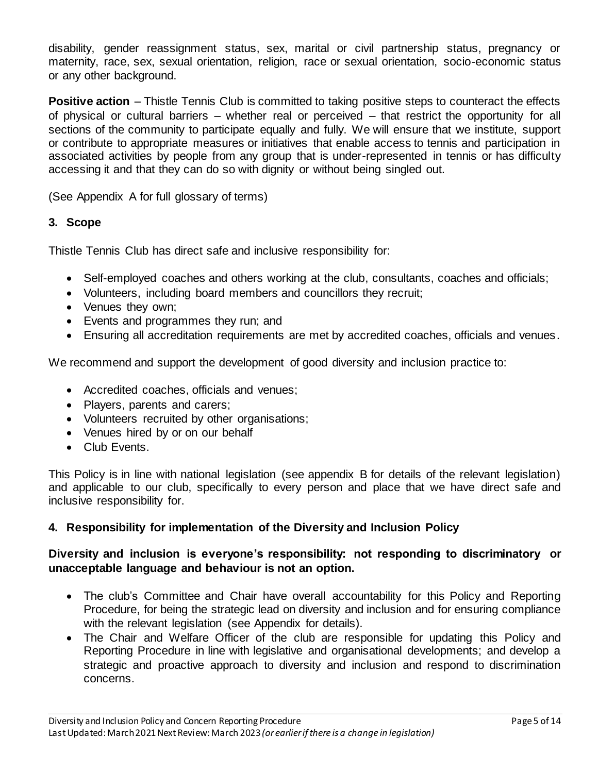disability, gender reassignment status, sex, marital or civil partnership status, pregnancy or maternity, race, sex, sexual orientation, religion, race or sexual orientation, socio-economic status or any other background.

**Positive action** – Thistle Tennis Club is committed to taking positive steps to counteract the effects of physical or cultural barriers – whether real or perceived – that restrict the opportunity for all sections of the community to participate equally and fully. We will ensure that we institute, support or contribute to appropriate measures or initiatives that enable access to tennis and participation in associated activities by people from any group that is under-represented in tennis or has difficulty accessing it and that they can do so with dignity or without being singled out.

(See Appendix A for full glossary of terms)

#### **3. Scope**

Thistle Tennis Club has direct safe and inclusive responsibility for:

- Self-employed coaches and others working at the club, consultants, coaches and officials;
- Volunteers, including board members and councillors they recruit;
- Venues they own;
- Events and programmes they run; and
- Ensuring all accreditation requirements are met by accredited coaches, officials and venues.

We recommend and support the development of good diversity and inclusion practice to:

- Accredited coaches, officials and venues;
- Players, parents and carers;
- Volunteers recruited by other organisations;
- Venues hired by or on our behalf
- Club Events.

This Policy is in line with national legislation (see appendix B for details of the relevant legislation) and applicable to our club, specifically to every person and place that we have direct safe and inclusive responsibility for.

#### **4. Responsibility for implementation of the Diversity and Inclusion Policy**

#### **Diversity and inclusion is everyone's responsibility: not responding to discriminatory or unacceptable language and behaviour is not an option.**

- The club's Committee and Chair have overall accountability for this Policy and Reporting Procedure, for being the strategic lead on diversity and inclusion and for ensuring compliance with the relevant legislation (see Appendix for details).
- The Chair and Welfare Officer of the club are responsible for updating this Policy and Reporting Procedure in line with legislative and organisational developments; and develop a strategic and proactive approach to diversity and inclusion and respond to discrimination concerns.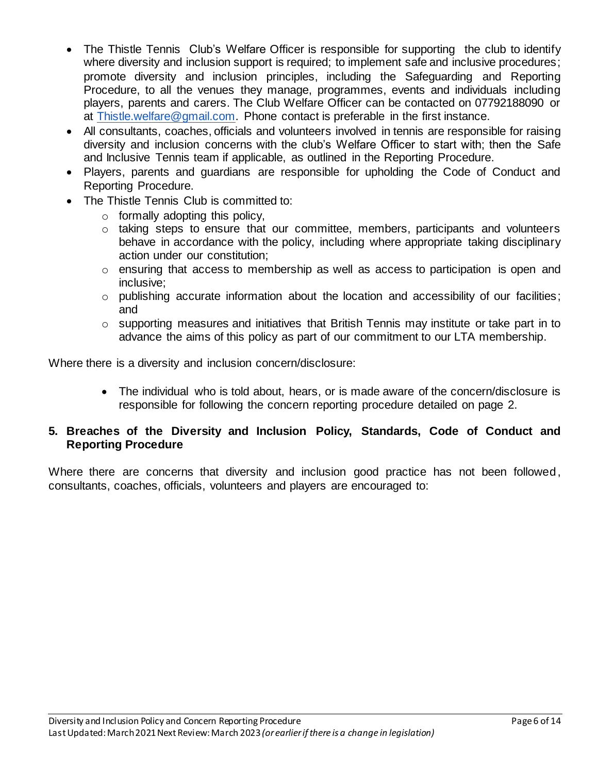- The Thistle Tennis Club's Welfare Officer is responsible for supporting the club to identify where diversity and inclusion support is required; to implement safe and inclusive procedures; promote diversity and inclusion principles, including the Safeguarding and Reporting Procedure, to all the venues they manage, programmes, events and individuals including players, parents and carers. The Club Welfare Officer can be contacted on 07792188090 or at [Thistle.welfare@gmail.com.](mailto:Thistle.welfare@gmail.com) Phone contact is preferable in the first instance.
- All consultants, coaches, officials and volunteers involved in tennis are responsible for raising diversity and inclusion concerns with the club's Welfare Officer to start with; then the Safe and Inclusive Tennis team if applicable, as outlined in the Reporting Procedure.
- Players, parents and guardians are responsible for upholding the Code of Conduct and Reporting Procedure.
- The Thistle Tennis Club is committed to:
	- $\circ$  formally adopting this policy.
	- o taking steps to ensure that our committee, members, participants and volunteers behave in accordance with the policy, including where appropriate taking disciplinary action under our constitution;
	- o ensuring that access to membership as well as access to participation is open and inclusive;
	- o publishing accurate information about the location and accessibility of our facilities; and
	- o supporting measures and initiatives that British Tennis may institute or take part in to advance the aims of this policy as part of our commitment to our LTA membership.

Where there is a diversity and inclusion concern/disclosure:

 The individual who is told about, hears, or is made aware of the concern/disclosure is responsible for following the concern reporting procedure detailed on page 2.

#### **5. Breaches of the Diversity and Inclusion Policy, Standards, Code of Conduct and Reporting Procedure**

Where there are concerns that diversity and inclusion good practice has not been followed, consultants, coaches, officials, volunteers and players are encouraged to: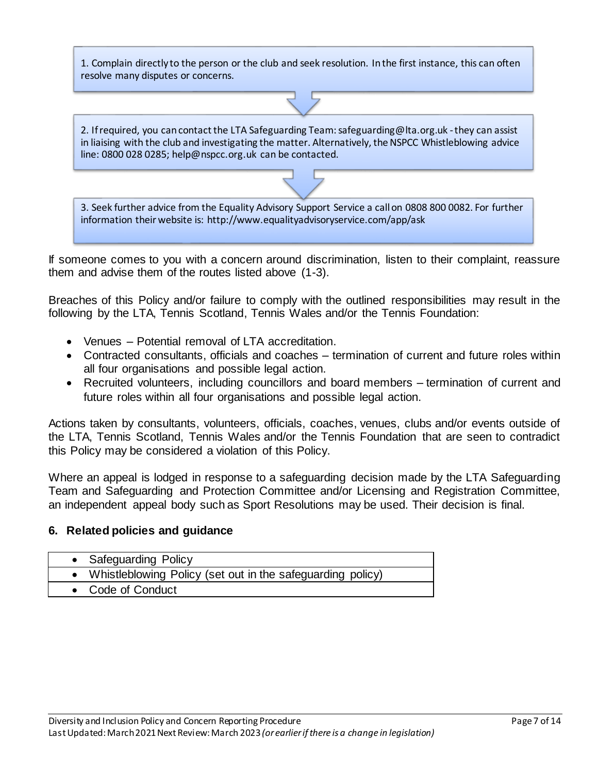1. Complain directly to the person or the club and seek resolution. In the first instance, this can often resolve many disputes or concerns.

2. If required, you can contact the LTA Safeguarding Team: safeguarding@lta.org.uk -they can assist in liaising with the club and investigating the matter. Alternatively, the NSPCC Whistleblowing advice line: 0800 028 0285; help@nspcc.org.uk can be contacted.

3. Seek further advice from the Equality Advisory Support Service a call on 0808 800 0082. For further information their website is: http://www.equalityadvisoryservice.com/app/ask

If someone comes to you with a concern around discrimination, listen to their complaint, reassure them and advise them of the routes listed above (1-3).

Breaches of this Policy and/or failure to comply with the outlined responsibilities may result in the following by the LTA, Tennis Scotland, Tennis Wales and/or the Tennis Foundation:

- Venues Potential removal of LTA accreditation.
- Contracted consultants, officials and coaches termination of current and future roles within all four organisations and possible legal action.
- Recruited volunteers, including councillors and board members termination of current and future roles within all four organisations and possible legal action.

Actions taken by consultants, volunteers, officials, coaches, venues, clubs and/or events outside of the LTA, Tennis Scotland, Tennis Wales and/or the Tennis Foundation that are seen to contradict this Policy may be considered a violation of this Policy.

Where an appeal is lodged in response to a safeguarding decision made by the LTA Safeguarding Team and Safeguarding and Protection Committee and/or Licensing and Registration Committee, an independent appeal body such as Sport Resolutions may be used. Their decision is final.

#### **6. Related policies and guidance**

| • Safeguarding Policy                                        |
|--------------------------------------------------------------|
| • Whistleblowing Policy (set out in the safeguarding policy) |
| • Code of Conduct                                            |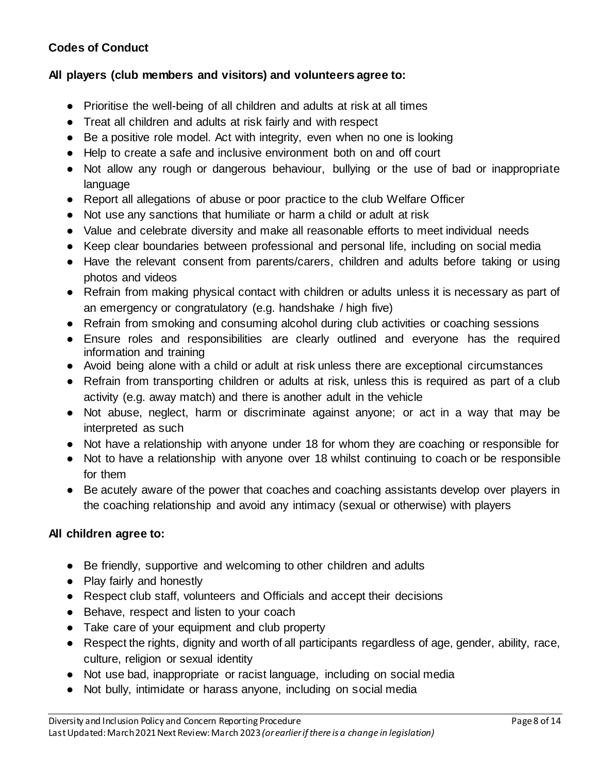### **Codes of Conduct**

#### **All players (club members and visitors) and volunteers agree to:**

- Prioritise the well-being of all children and adults at risk at all times
- Treat all children and adults at risk fairly and with respect
- Be a positive role model. Act with integrity, even when no one is looking
- Help to create a safe and inclusive environment both on and off court
- Not allow any rough or dangerous behaviour, bullying or the use of bad or inappropriate language
- Report all allegations of abuse or poor practice to the club Welfare Officer
- Not use any sanctions that humiliate or harm a child or adult at risk
- Value and celebrate diversity and make all reasonable efforts to meet individual needs
- Keep clear boundaries between professional and personal life, including on social media
- Have the relevant consent from parents/carers, children and adults before taking or using photos and videos
- Refrain from making physical contact with children or adults unless it is necessary as part of an emergency or congratulatory (e.g. handshake / high five)
- Refrain from smoking and consuming alcohol during club activities or coaching sessions
- Ensure roles and responsibilities are clearly outlined and everyone has the required information and training
- Avoid being alone with a child or adult at risk unless there are exceptional circumstances
- Refrain from transporting children or adults at risk, unless this is required as part of a club activity (e.g. away match) and there is another adult in the vehicle
- Not abuse, neglect, harm or discriminate against anyone; or act in a way that may be interpreted as such
- Not have a relationship with anyone under 18 for whom they are coaching or responsible for
- Not to have a relationship with anyone over 18 whilst continuing to coach or be responsible for them
- Be acutely aware of the power that coaches and coaching assistants develop over players in the coaching relationship and avoid any intimacy (sexual or otherwise) with players

#### **All children agree to:**

- Be friendly, supportive and welcoming to other children and adults
- Play fairly and honestly
- Respect club staff, volunteers and Officials and accept their decisions
- Behave, respect and listen to your coach
- Take care of your equipment and club property
- Respect the rights, dignity and worth of all participants regardless of age, gender, ability, race, culture, religion or sexual identity
- Not use bad, inappropriate or racist language, including on social media
- Not bully, intimidate or harass anyone, including on social media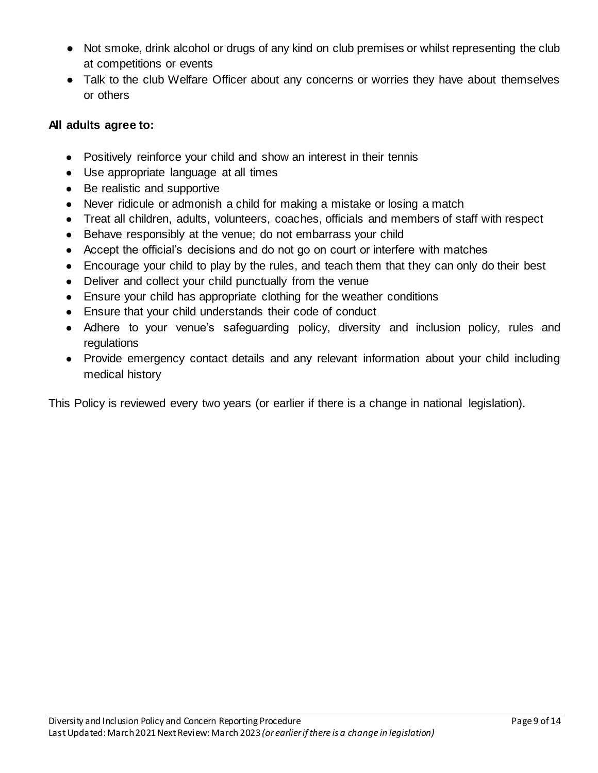- Not smoke, drink alcohol or drugs of any kind on club premises or whilst representing the club at competitions or events
- Talk to the club Welfare Officer about any concerns or worries they have about themselves or others

#### **All adults agree to:**

- Positively reinforce your child and show an interest in their tennis
- Use appropriate language at all times
- Be realistic and supportive
- Never ridicule or admonish a child for making a mistake or losing a match
- Treat all children, adults, volunteers, coaches, officials and members of staff with respect
- Behave responsibly at the venue; do not embarrass your child
- Accept the official's decisions and do not go on court or interfere with matches
- Encourage your child to play by the rules, and teach them that they can only do their best
- Deliver and collect your child punctually from the venue
- Ensure your child has appropriate clothing for the weather conditions
- Ensure that your child understands their code of conduct
- Adhere to your venue's safeguarding policy, diversity and inclusion policy, rules and regulations
- Provide emergency contact details and any relevant information about your child including medical history

This Policy is reviewed every two years (or earlier if there is a change in national legislation).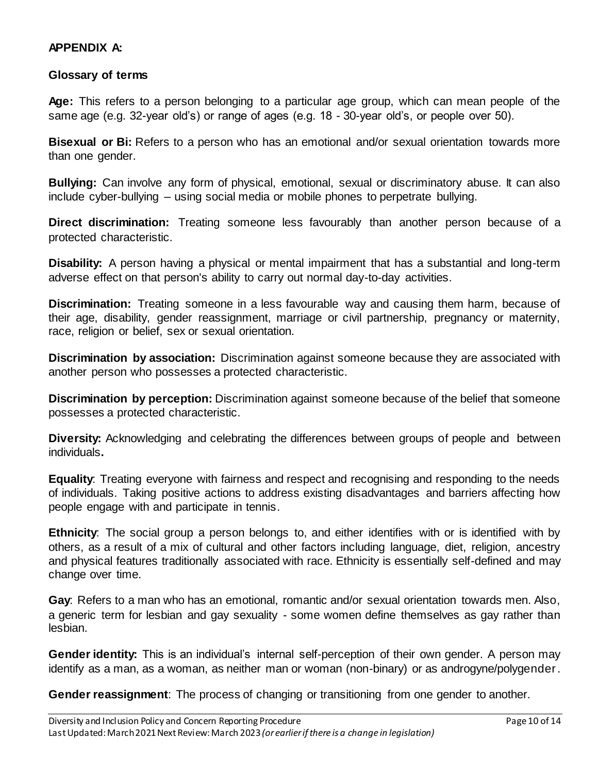#### **APPENDIX A:**

#### **Glossary of terms**

**Age:** This refers to a person belonging to a particular age group, which can mean people of the same age (e.g. 32-year old's) or range of ages (e.g. 18 - 30-year old's, or people over 50).

**Bisexual or Bi:** Refers to a person who has an emotional and/or sexual orientation towards more than one gender.

**Bullying:** Can involve any form of physical, emotional, sexual or discriminatory abuse. It can also include cyber-bullying – using social media or mobile phones to perpetrate bullying.

**Direct discrimination:** Treating someone less favourably than another person because of a protected characteristic.

**Disability:** A person having a physical or mental impairment that has a substantial and long-term adverse effect on that person's ability to carry out normal day-to-day activities.

**Discrimination:** Treating someone in a less favourable way and causing them harm, because of their age, disability, gender reassignment, marriage or civil partnership, pregnancy or maternity, race, religion or belief, sex or sexual orientation.

**Discrimination by association:** Discrimination against someone because they are associated with another person who possesses a protected characteristic.

**Discrimination by perception:** Discrimination against someone because of the belief that someone possesses a protected characteristic.

**Diversity:** Acknowledging and celebrating the differences between groups of people and between individuals**.**

**Equality**: Treating everyone with fairness and respect and recognising and responding to the needs of individuals. Taking positive actions to address existing disadvantages and barriers affecting how people engage with and participate in tennis.

**Ethnicity**: The social group a person belongs to, and either identifies with or is identified with by others, as a result of a mix of cultural and other factors including language, diet, religion, ancestry and physical features traditionally associated with race. Ethnicity is essentially self-defined and may change over time.

**Gay**: Refers to a man who has an emotional, romantic and/or sexual orientation towards men. Also, a generic term for lesbian and gay sexuality - some women define themselves as gay rather than lesbian.

**Gender identity:** This is an individual's internal self-perception of their own gender. A person may identify as a man, as a woman, as neither man or woman (non-binary) or as androgyne/polygender.

**Gender reassignment**: The process of changing or transitioning from one gender to another.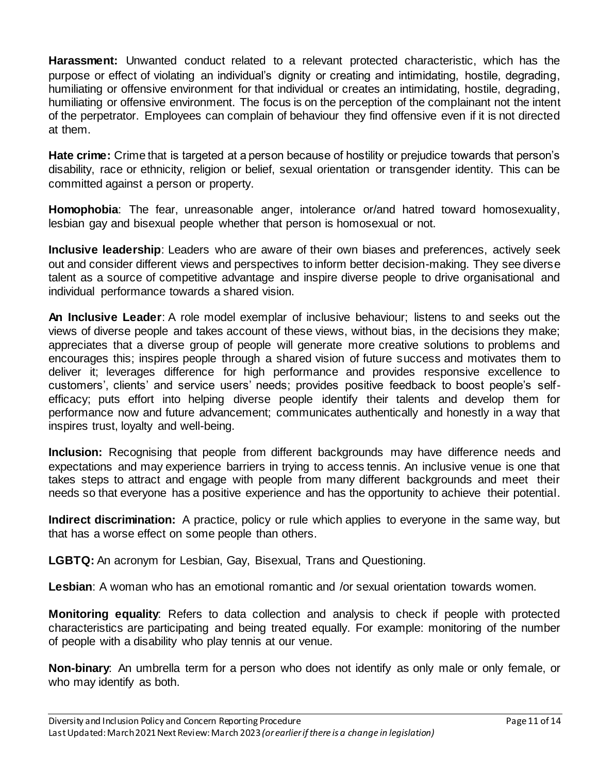**Harassment:** Unwanted conduct related to a relevant protected characteristic, which has the purpose or effect of violating an individual's dignity or creating and intimidating, hostile, degrading, humiliating or offensive environment for that individual or creates an intimidating, hostile, degrading, humiliating or offensive environment. The focus is on the perception of the complainant not the intent of the perpetrator. Employees can complain of behaviour they find offensive even if it is not directed at them.

**Hate crime:** Crime that is targeted at a person because of hostility or prejudice towards that person's disability, race or ethnicity, religion or belief, sexual orientation or transgender identity. This can be committed against a person or property.

**Homophobia**: The fear, unreasonable anger, intolerance or/and hatred toward homosexuality, lesbian gay and bisexual people whether that person is homosexual or not.

**Inclusive leadership**: Leaders who are aware of their own biases and preferences, actively seek out and consider different views and perspectives to inform better decision-making. They see diverse talent as a source of competitive advantage and inspire diverse people to drive organisational and individual performance towards a shared vision.

**An Inclusive Leader**: A role model exemplar of inclusive behaviour; listens to and seeks out the views of diverse people and takes account of these views, without bias, in the decisions they make; appreciates that a diverse group of people will generate more creative solutions to problems and encourages this; inspires people through a shared vision of future success and motivates them to deliver it; leverages difference for high performance and provides responsive excellence to customers', clients' and service users' needs; provides positive feedback to boost people's selfefficacy; puts effort into helping diverse people identify their talents and develop them for performance now and future advancement; communicates authentically and honestly in a way that inspires trust, loyalty and well-being.

**Inclusion:** Recognising that people from different backgrounds may have difference needs and expectations and may experience barriers in trying to access tennis. An inclusive venue is one that takes steps to attract and engage with people from many different backgrounds and meet their needs so that everyone has a positive experience and has the opportunity to achieve their potential.

**Indirect discrimination:** A practice, policy or rule which applies to everyone in the same way, but that has a worse effect on some people than others.

**LGBTQ:** An acronym for Lesbian, Gay, Bisexual, Trans and Questioning.

**Lesbian**: A woman who has an emotional romantic and /or sexual orientation towards women.

**Monitoring equality**: Refers to data collection and analysis to check if people with protected characteristics are participating and being treated equally. For example: monitoring of the number of people with a disability who play tennis at our venue.

**Non-binary**: An umbrella term for a person who does not identify as only male or only female, or who may identify as both.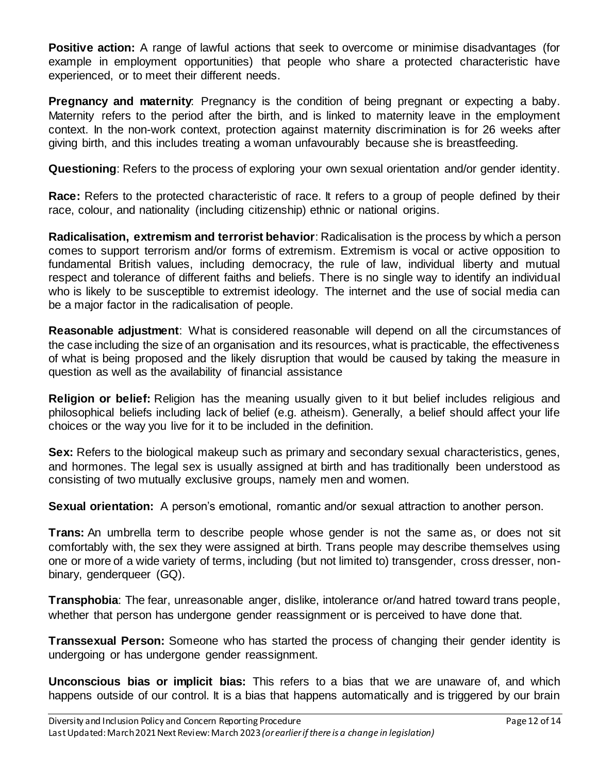**Positive action:** A range of lawful actions that seek to overcome or minimise disadvantages (for example in employment opportunities) that people who share a protected characteristic have experienced, or to meet their different needs.

**Pregnancy and maternity**: Pregnancy is the condition of being pregnant or expecting a baby. Maternity refers to the period after the birth, and is linked to maternity leave in the employment context. In the non-work context, protection against maternity discrimination is for 26 weeks after giving birth, and this includes treating a woman unfavourably because she is breastfeeding.

**Questioning**: Refers to the process of exploring your own sexual orientation and/or gender identity.

**Race:** Refers to the protected characteristic of race. It refers to a group of people defined by their race, colour, and nationality (including citizenship) ethnic or national origins.

**Radicalisation, extremism and terrorist behavior**: Radicalisation is the process by which a person comes to support terrorism and/or forms of extremism. Extremism is vocal or active opposition to fundamental British values, including democracy, the rule of law, individual liberty and mutual respect and tolerance of different faiths and beliefs. There is no single way to identify an individual who is likely to be susceptible to extremist ideology. The internet and the use of social media can be a major factor in the radicalisation of people.

**Reasonable adjustment**: What is considered reasonable will depend on all the circumstances of the case including the size of an organisation and its resources, what is practicable, the effectiveness of what is being proposed and the likely disruption that would be caused by taking the measure in question as well as the availability of financial assistance

**Religion or belief:** Religion has the meaning usually given to it but belief includes religious and philosophical beliefs including lack of belief (e.g. atheism). Generally, a belief should affect your life choices or the way you live for it to be included in the definition.

**Sex:** Refers to the biological makeup such as primary and secondary sexual characteristics, genes, and hormones. The legal sex is usually assigned at birth and has traditionally been understood as consisting of two mutually exclusive groups, namely men and women.

**Sexual orientation:** A person's emotional, romantic and/or sexual attraction to another person.

**Trans:** An umbrella term to describe people whose gender is not the same as, or does not sit comfortably with, the sex they were assigned at birth. Trans people may describe themselves using one or more of a wide variety of terms, including (but not limited to) transgender, cross dresser, nonbinary, genderqueer (GQ).

**Transphobia**: The fear, unreasonable anger, dislike, intolerance or/and hatred toward trans people, whether that person has undergone gender reassignment or is perceived to have done that.

**Transsexual Person:** Someone who has started the process of changing their gender identity is undergoing or has undergone gender reassignment.

**Unconscious bias or implicit bias:** This refers to a bias that we are unaware of, and which happens outside of our control. It is a bias that happens automatically and is triggered by our brain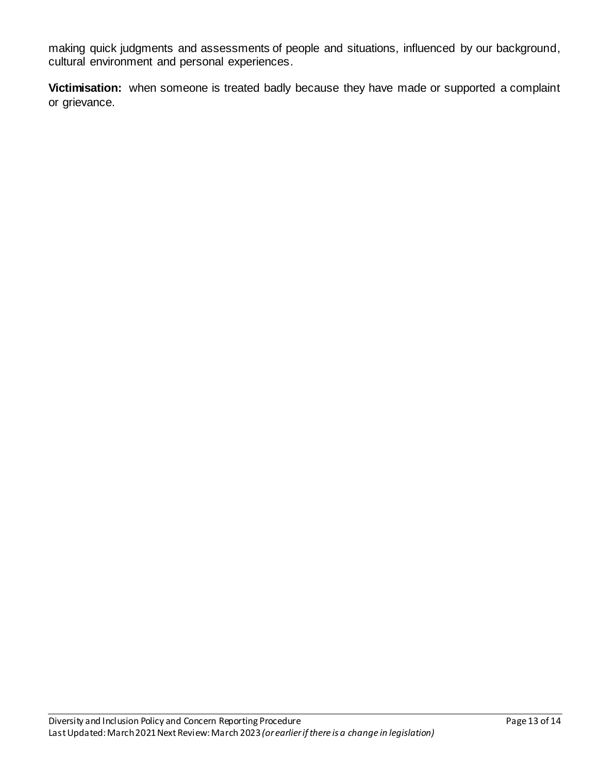making quick judgments and assessments of people and situations, influenced by our background, cultural environment and personal experiences.

**Victimisation:** when someone is treated badly because they have made or supported a complaint or grievance.